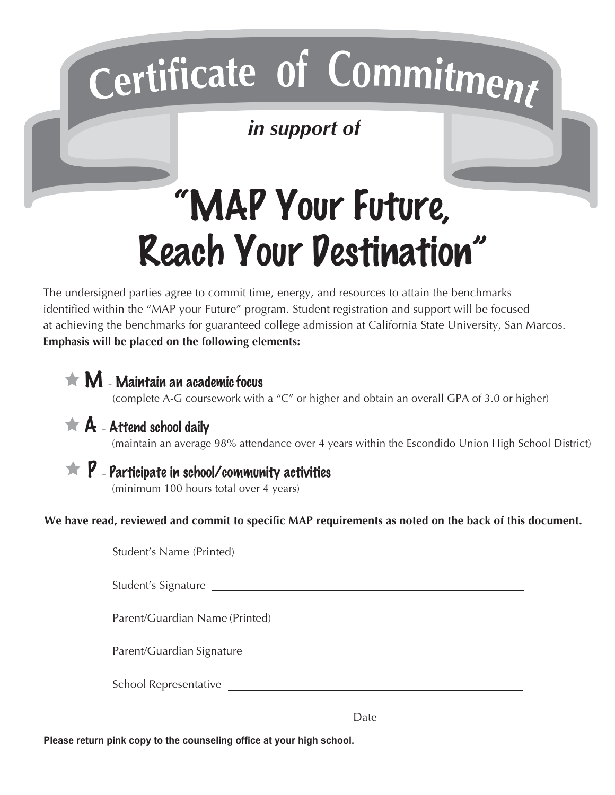## **o C f o**

*in support of*

## "MAP Your Future, Reach Your Destination"

The undersigned parties agree to commit time, energy, and resources to attain the benchmarks identified within the "MAP your Future" program. Student registration and support will be focused at achieving the benchmarks for guaranteed college admission at California State University, San Marcos. **Emphasis will be placed on the following elements:**

| (complete A-G coursework with a "C" or higher and obtain an overall GPA of 3.0 or higher)                                                                                                                                                                                                                                                                                                                                                                                                                                                                                                                                                              |  |
|--------------------------------------------------------------------------------------------------------------------------------------------------------------------------------------------------------------------------------------------------------------------------------------------------------------------------------------------------------------------------------------------------------------------------------------------------------------------------------------------------------------------------------------------------------------------------------------------------------------------------------------------------------|--|
| (maintain an average 98% attendance over 4 years within the Escondido Union High School District)                                                                                                                                                                                                                                                                                                                                                                                                                                                                                                                                                      |  |
| (minimum 100 hours total over 4 years)                                                                                                                                                                                                                                                                                                                                                                                                                                                                                                                                                                                                                 |  |
| $\star$ M - Maintain an academic focus<br>$\bigstar$ A - Attend school daily<br>$\star$ P - Participate in school/community activities<br>We have read, reviewed and commit to specific MAP requirements as noted on the back of this document.<br>Student's Name (Printed)<br><u>Student's Name (Printed)</u><br>Parent/Guardian Name (Printed) Manual Parent Control of Parent Cuardian Name (Printed)<br>Parent/Guardian Signature<br><u> and</u><br>and<br><u> and</u><br>and<br>and<br>and<br>and<br>and<br>and<br>and<br>and<br>and<br>and<br>and<br>and<br>and<br>and<br>and<br>and<br>and<br>and<br>and<br>and<br>and<br>and<br>and<br>and<br> |  |
|                                                                                                                                                                                                                                                                                                                                                                                                                                                                                                                                                                                                                                                        |  |
|                                                                                                                                                                                                                                                                                                                                                                                                                                                                                                                                                                                                                                                        |  |
|                                                                                                                                                                                                                                                                                                                                                                                                                                                                                                                                                                                                                                                        |  |
|                                                                                                                                                                                                                                                                                                                                                                                                                                                                                                                                                                                                                                                        |  |
|                                                                                                                                                                                                                                                                                                                                                                                                                                                                                                                                                                                                                                                        |  |
| Date                                                                                                                                                                                                                                                                                                                                                                                                                                                                                                                                                                                                                                                   |  |

**Please return pink copy to the counseling office at your high school.**